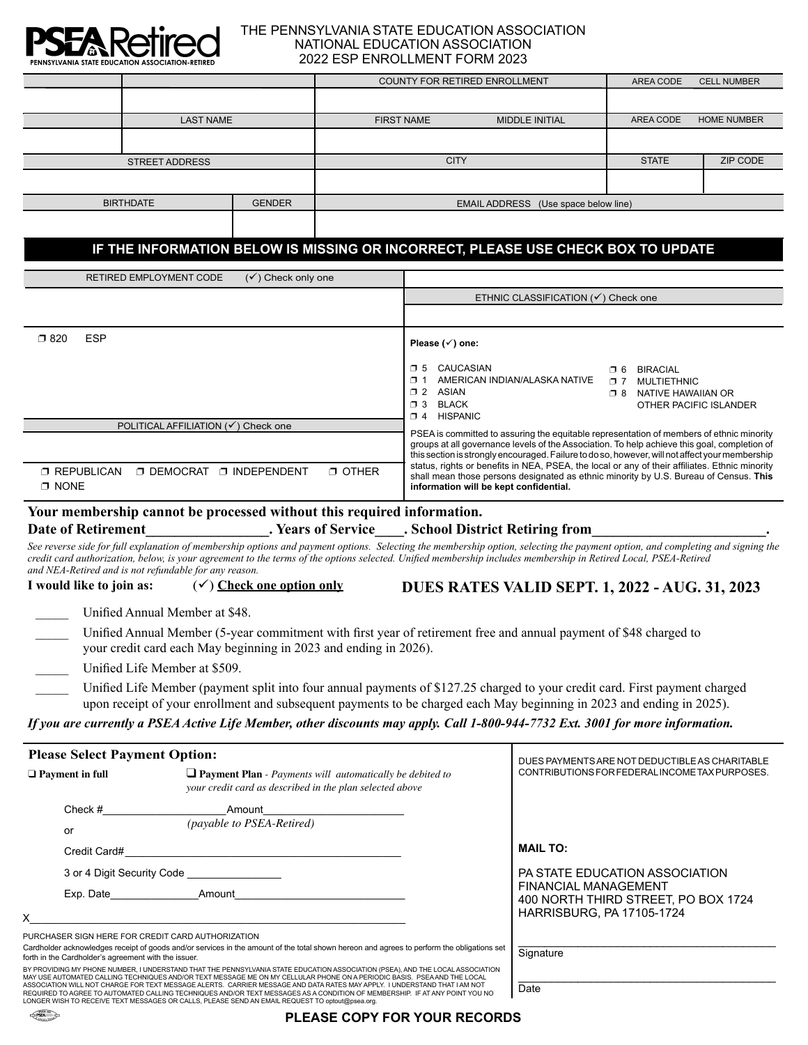

#### THE PENNSYLVANIA STATE EDUCATION ASSOCIATION NATIONAL EDUCATION ASSOCIATION 2022 ESP ENROLLMENT FORM 2023

|                                                                                  |                  |                                                |             | <b>COUNTY FOR RETIRED ENROLLMENT</b> |                                     |           | <b>CELL NUMBER</b> |
|----------------------------------------------------------------------------------|------------------|------------------------------------------------|-------------|--------------------------------------|-------------------------------------|-----------|--------------------|
|                                                                                  |                  |                                                |             |                                      |                                     |           |                    |
|                                                                                  | <b>LAST NAME</b> |                                                |             | <b>FIRST NAME</b>                    | <b>MIDDLE INITIAL</b>               | AREA CODE | <b>HOME NUMBER</b> |
|                                                                                  |                  |                                                |             |                                      |                                     |           |                    |
| <b>STREET ADDRESS</b>                                                            |                  |                                                | <b>CITY</b> |                                      | <b>STATE</b>                        | ZIP CODE  |                    |
|                                                                                  |                  |                                                |             |                                      |                                     |           |                    |
| <b>GENDER</b><br><b>BIRTHDATE</b>                                                |                  | <b>EMAIL ADDRESS</b><br>(Use space below line) |             |                                      |                                     |           |                    |
|                                                                                  |                  |                                                |             |                                      |                                     |           |                    |
| IF THE INFORMATION BELOW IS MISSING OR INCORRECT, PLEASE USE CHECK BOX TO UPDATE |                  |                                                |             |                                      |                                     |           |                    |
| $(\checkmark)$ Check only one<br><b>RETIRED EMPLOYMENT CODE</b>                  |                  |                                                |             |                                      |                                     |           |                    |
|                                                                                  |                  |                                                |             |                                      | ETHNIC CLASSIFICATION (√) Check one |           |                    |

| <b>ESP</b><br>$\square$ 820                                                                         | Please $(\checkmark)$ one:                                                                                                                                                                                                                                                                  |  |  |  |
|-----------------------------------------------------------------------------------------------------|---------------------------------------------------------------------------------------------------------------------------------------------------------------------------------------------------------------------------------------------------------------------------------------------|--|--|--|
|                                                                                                     | CAUCASIAN<br>$\Box$ 5<br><b>BIRACIAL</b><br>⊓ 6<br>AMERICAN INDIAN/ALASKA NATIVE<br>$\Box$<br>MULTIETHNIC<br>n 7<br>$\Box$ 2<br>ASIAN<br>NATIVE HAWAIIAN OR<br>∩ 8<br>$\Box$ 3<br>BLACK<br>OTHER PACIFIC ISLANDER<br><b>HISPANIC</b><br>$\Box$ 4                                            |  |  |  |
| POLITICAL AFFILIATION (√) Check one                                                                 | PSEA is committed to assuring the equitable representation of members of ethnic minority<br>groups at all governance levels of the Association. To help achieve this goal, completion of<br>this section is strongly encouraged. Failure to do so, however, will not affect your membership |  |  |  |
| <b>T OTHER</b><br><b>D DEMOCRAT</b><br><b>T REPUBLICAN</b><br><b>T INDEPENDENT</b><br><b>T NONE</b> | status, rights or benefits in NEA, PSEA, the local or any of their affiliates. Ethnic minority<br>shall mean those persons designated as ethnic minority by U.S. Bureau of Census. This<br>information will be kept confidential.                                                           |  |  |  |

### **Your membership cannot be processed without this required information.** Date of Retirement **Date of Retirement Conserverse Exercise** School District Retiring from

See reverse side for full explanation of membership options and payment options. Selecting the membership option, selecting the payment option, and completing and signing the *credit card authorization, below, is your agreement to the terms of the options selected. Unified membership includes membership in Retired Local, PSEA-Retired and NEA-Retired and is not refundable for any reason.*

**I** would like to join as:  $(\checkmark)$  Check one option only

**DUES RATES VALID SEPT. 1, 2022 - AUG. 31, 2023**

DUES PAYMENTS ARE NOT DEDUCTIBLE AS CHARITABLE

Unified Annual Member at \$48.

Unified Annual Member (5-year commitment with first year of retirement free and annual payment of \$48 charged to your credit card each May beginning in 2023 and ending in 2026).

Unified Life Member at \$509.

Unified Life Member (payment split into four annual payments of \$127.25 charged to your credit card. First payment charged upon receipt of your enrollment and subsequent payments to be charged each May beginning in 2023 and ending in 2025).

### *If you are currently a PSEA Active Life Member, other discounts may apply. Call 1-800-944-7732 Ext. 3001 for more information.*

|  |  | <b>Please Select Payment Option:</b> |  |
|--|--|--------------------------------------|--|
|--|--|--------------------------------------|--|

| $\Box$ Payment in full                               | $\Box$ Payment Plan - Payments will automatically be debited to<br>your credit card as described in the plan selected above                                                                                                                                 | CONTRIBUTIONS FOR FEDERAL INCOME TAX PURPOSES.              |  |
|------------------------------------------------------|-------------------------------------------------------------------------------------------------------------------------------------------------------------------------------------------------------------------------------------------------------------|-------------------------------------------------------------|--|
| Check $#$                                            | Amount that the contract of the contract of the contract of the contract of the contract of the contract of the contract of the contract of the contract of the contract of the contract of the contract of the contract of th                              |                                                             |  |
| or                                                   | <i>(payable to PSEA-Retired)</i>                                                                                                                                                                                                                            |                                                             |  |
| Credit Card#                                         |                                                                                                                                                                                                                                                             | <b>MAIL TO:</b>                                             |  |
|                                                      | 3 or 4 Digit Security Code _________________                                                                                                                                                                                                                | PA STATE EDUCATION ASSOCIATION                              |  |
|                                                      | Exp. Date<br>Amount                                                                                                                                                                                                                                         | FINANCIAL MANAGEMENT<br>400 NORTH THIRD STREET. PO BOX 1724 |  |
|                                                      |                                                                                                                                                                                                                                                             | HARRISBURG, PA 17105-1724                                   |  |
|                                                      | PURCHASER SIGN HERE FOR CREDIT CARD AUTHORIZATION                                                                                                                                                                                                           |                                                             |  |
| forth in the Cardholder's agreement with the issuer. | Cardholder acknowledges receipt of goods and/or services in the amount of the total shown hereon and agrees to perform the obligations set                                                                                                                  | Signature                                                   |  |
|                                                      | BY PROVIDING MY PHONE NUMBER, I UNDERSTAND THAT THE PENNSYLVANIA STATE EDUCATION ASSOCIATION (PSEA), AND THE LOCAL ASSOCIATION<br>MAY USE AUTOMATED CALLING TECHNIQUES AND/OR TEXT MESSAGE ME ON MY CELLUI AR PHONE ON A PERIODIC BASIS. PSEA AND THE LOCAL |                                                             |  |
|                                                      | ASSOCIATION WILL NOT CHARGE EOR TEYT MESSAGE ALERTS. CARRIER MESSAGE AND DATA RATES MAV ARRI VI LINDERSTAND THAT LAM NOT                                                                                                                                    | - -                                                         |  |

BY PROVIDING MY PHONE NUMBER, I UNDERSTAND THAT THE PENNSYLVANIA STATE EDUCATION ASSOCIATION (PSEA), AND THE LOCAL ASSOCIATION MAY USE AUTOMATED CALLING TECHNIQUES AND/OR TEXT MESSAGE ME ON MY CELLULAR PHONE ON A PERIODIC BASIS. PSEA AND THE LOCAL ASSOCIATION WILL NOT CHARGE FOR TEXT MESSAGE ALERTS. CARRIER MESSAGE AND DATA RATES MAY APPLY. I UNDERSTAND THAT I AM NOT<br>REQUIRED TO AGREE TO AUTOMATED CALLING TECHNIQUES AND/OR TEXT MESSAGES AS A CONDITION OF MEMBERSHIP LONGER WISH TO RECEIVE TEXT MESSAGES OR CALLS, PLEASE SEND AN EMAIL REQUEST TO optout@psea.org.

DESEA

| Date